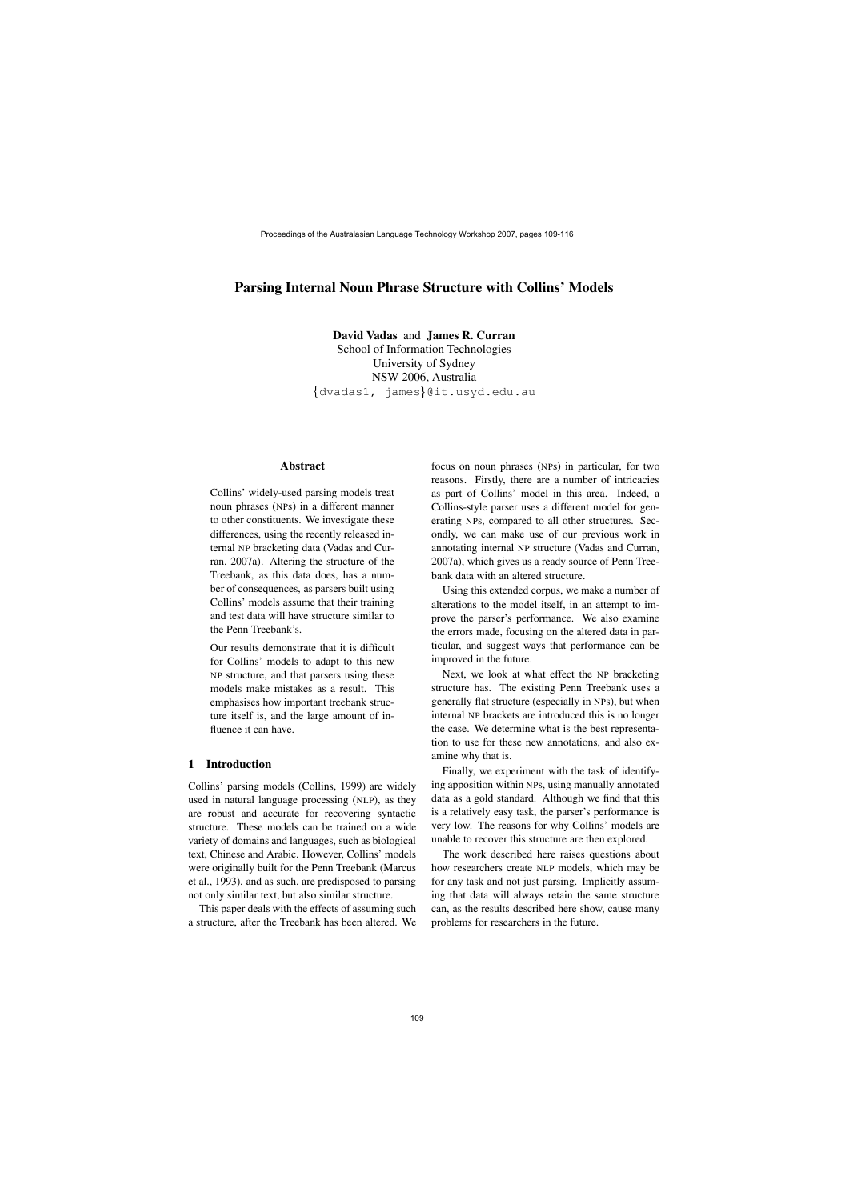# **Parsing Internal Noun Phrase Structure with Collins' Models**

**David Vadas** and **James R. Curran** School of Information Technologies University of Sydney NSW 2006, Australia  $\{\texttt{dvadas1, } \texttt{james}\}$ [@it.usyd.edu.au](mailto:@it.usyd.edu.au)

### **Abstract**

Collins' widely-used parsing models treat noun phrases (NPs) in a different manner to other constituents. We investigate these differences, using the recently released internal NP bracketing data (Vadas and Curran, 2007a). Altering the structure of the Treebank, as this data does, has a number of consequences, as parsers built using Collins' models assume that their training and test data will have structure similar to the Penn Treebank's.

Our results demonstrate that it is difficult for Collins' models to adapt to this new NP structure, and that parsers using these models make mistakes as a result. This emphasises how important treebank structure itself is, and the large amount of influence it can have.

## **1 Introduction**

Collins' parsing models (Collins, 1999) are widely used in natural language processing (NLP), as they are robust and accurate for recovering syntactic structure. These models can be trained on a wide variety of domains and languages, such as biological text, Chinese and Arabic. However, Collins' models were originally built for the Penn Treebank (Marcus et al., 1993), and as such, are predisposed to parsing not only similar text, but also similar structure.

This paper deals with the effects of assuming such a structure, after the Treebank has been altered. We focus on noun phrases (NPs) in particular, for two reasons. Firstly, there are a number of intricacies as part of Collins' model in this area. Indeed, a Collins-style parser uses a different model for generating NPs, compared to all other structures. Secondly, we can make use of our previous work in annotating internal NP structure (Vadas and Curran, 2007a), which gives us a ready source of Penn Treebank data with an altered structure.

Using this extended corpus, we make a number of alterations to the model itself, in an attempt to improve the parser's performance. We also examine the errors made, focusing on the altered data in particular, and suggest ways that performance can be improved in the future.

Next, we look at what effect the NP bracketing structure has. The existing Penn Treebank uses a generally flat structure (especially in NPs), but when internal NP brackets are introduced this is no longer the case. We determine what is the best representation to use for these new annotations, and also examine why that is.

Finally, we experiment with the task of identifying apposition within NPs, using manually annotated data as a gold standard. Although we find that this is a relatively easy task, the parser's performance is very low. The reasons for why Collins' models are unable to recover this structure are then explored.

The work described here raises questions about how researchers create NLP models, which may be for any task and not just parsing. Implicitly assuming that data will always retain the same structure can, as the results described here show, cause many problems for researchers in the future.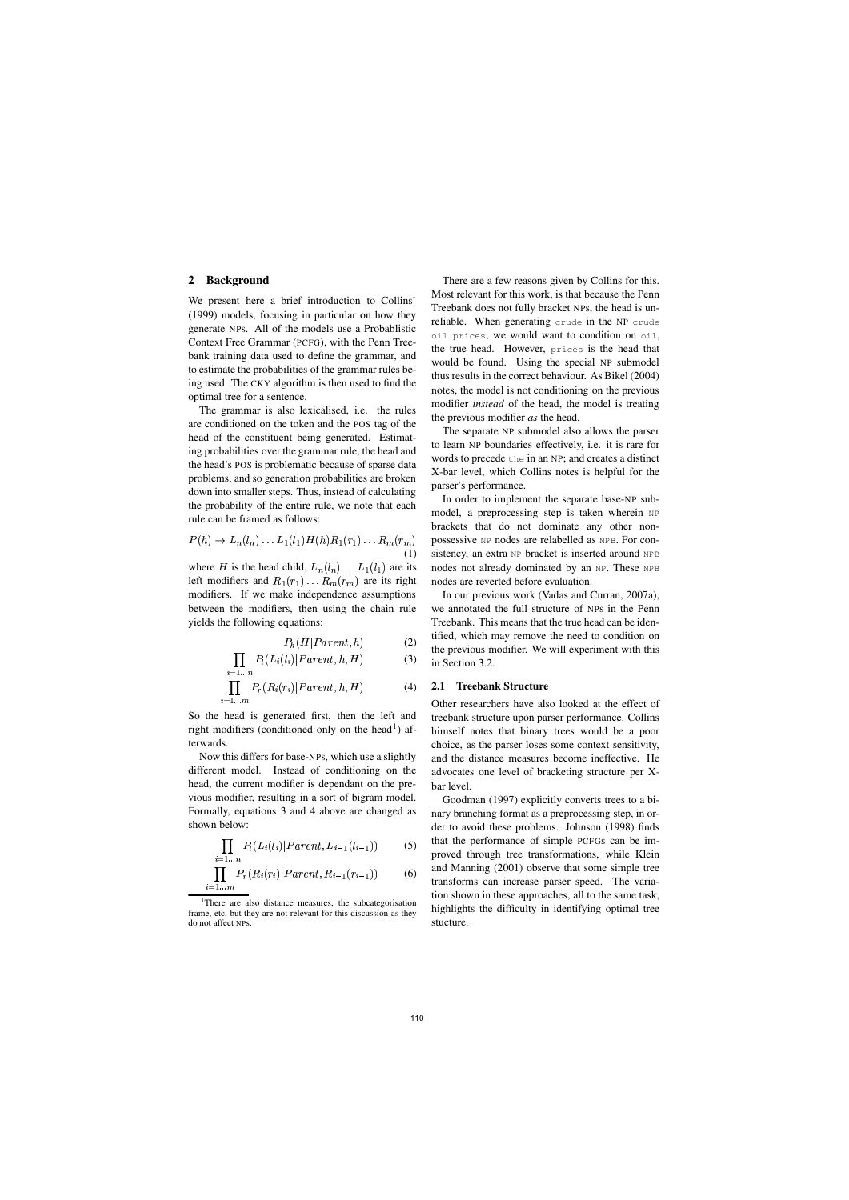## **2 Background**

We present here a brief introduction to Collins' (1999) models, focusing in particular on how they generate NPs. All of the models use a Probablistic Context Free Grammar (PCFG), with the Penn Treebank training data used to define the grammar, and to estimate the probabilities of the grammar rules being used. The CKY algorithm is then used to find the optimal tree for a sentence.

The grammar is also lexicalised, i.e. the rules are conditioned on the token and the POS tag of the head of the constituent being generated. Estimating probabilities over the grammar rule, the head and the head's POS is problematic because of sparse data problems, and so generation probabilities are broken down into smaller steps. Thus, instead of calculating the probability of the entire rule, we note that each rule can be framed as follows:

$$
P(h) \to L_n(l_n) \dots L_1(l_1)H(h)R_1(r_1)\dots R_m(r_m)
$$
possessive NP nodes are relabelled as NPE. For con-  
(1) sistency, an extra NP bracket is inserted around NPE

where H is the head child,  $L_n(l_n) \dots L_1(l_1)$  are its left modifiers and  $R_1(r_1) \dots R_m(r_m)$  are its right modifiers. If we make independence assumptions between the modifiers, then using the chain rule yields the following equations:

$$
P_h(H|Parent, h) \tag{2}
$$

$$
\prod_{i=1...n} P_l(L_i(l_i)|Parent, h, H) \tag{3}
$$

$$
\prod_{i=1...m} P_r(R_i(r_i)|Parent, h, H) \tag{4}
$$

So the head is generated first, then the left and right modifiers (conditioned only on the head<sup>1</sup>) afterwards.

Now this differs for base-NPs, which use a slightly different model. Instead of conditioning on the head, the current modifier is dependant on the previous modifier, resulting in a sort of bigram model. Formally, equations 3 and 4 above are changed as shown below:

$$
\prod_{i=1\ldots n} P_l(L_i(l_i)|Parent, L_{i-1}(l_{i-1})) \tag{5}
$$

$$
\prod_{i=1...m} P_r(R_i(r_i)|Parent, R_{i-1}(r_{i-1})) \tag{6}
$$

There are a few reasons given by Collins for this. Most relevant for this work, is that because the Penn Treebank does not fully bracket NPs, the head is unreliable. When generating crude in the NP crude oil prices, we would want to condition on oil, the true head. However, prices is the head that would be found. Using the special NP submodel thus results in the correct behaviour. As Bikel (2004) notes, the model is not conditioning on the previous modifier *instead* of the head, the model is treating the previous modifier *as* the head.

The separate NP submodel also allows the parser to learn NP boundaries effectively, i.e. it is rare for words to precede the in an NP; and creates a distinct X-bar level, which Collins notes is helpful for the parser's performance.

In order to implement the separate base-NP submodel, a preprocessing step is taken wherein NP brackets that do not dominate any other nonsistency, an extra NP bracket is inserted around NPB nodes not already dominated by an NP. These NPB nodes are reverted before evaluation.

In our previous work (Vadas and Curran, 2007a), we annotated the full structure of NPs in the Penn Treebank. This means that the true head can be identified, which may remove the need to condition on the previous modifier. We will experiment with this in Section 3.2.

#### **2.1 Treebank Structure**

Other researchers have also looked at the effect of treebank structure upon parser performance. Collins himself notes that binary trees would be a poor choice, as the parser loses some context sensitivity, and the distance measures become ineffective. He advocates one level of bracketing structure per Xbar level.

Goodman (1997) explicitly converts trees to a binary branching format as a preprocessing step, in order to avoid these problems. Johnson (1998) finds that the performance of simple PCFGs can be improved through tree transformations, while Klein and Manning (2001) observe that some simple tree transforms can increase parser speed. The variation shown in these approaches, all to the same task, highlights the difficulty in identifying optimal tree stucture.

<sup>&</sup>lt;sup>1</sup>There are also distance measures, the subcategorisation frame, etc, but they are not relevant for this discussion as they do not affect NPs.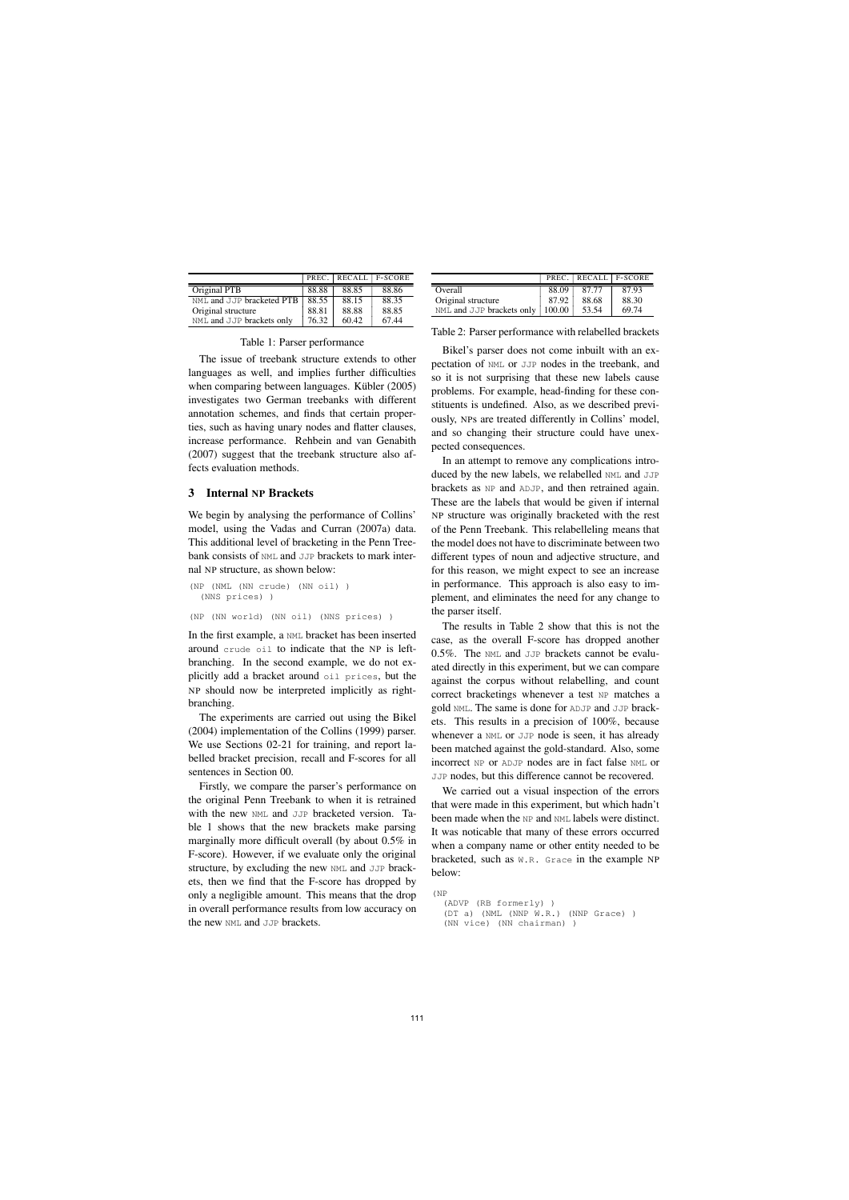|                           |       |       | PREC. RECALL F-SCORE |
|---------------------------|-------|-------|----------------------|
| Original PTB              | 88.88 | 88.85 | 88.86                |
| NML and JJP bracketed PTB | 88.55 | 88.15 | 88.35                |
| Original structure        | 88.81 | 88.88 | 88.85                |
| NML and JJP brackets only | 76.32 | 60.42 | 67.44                |

| Table 1: Parser performance |  |
|-----------------------------|--|
|-----------------------------|--|

The issue of treebank structure extends to other languages as well, and implies further difficulties when comparing between languages. Kübler  $(2005)$ investigates two German treebanks with different annotation schemes, and finds that certain properties, such as having unary nodes and flatter clauses, increase performance. Rehbein and van Genabith (2007) suggest that the treebank structure also affects evaluation methods.

## **3 Internal NP Brackets**

We begin by analysing the performance of Collins' model, using the Vadas and Curran (2007a) data. This additional level of bracketing in the Penn Treebank consists of NML and JJP brackets to mark internal NP structure, as shown below:

```
(NP (NML (NN crude) (NN oil) )
  (NNS prices) )
(NP (NN world) (NN oil) (NNS prices) )
```
In the first example, a NML bracket has been inserted around crude oil to indicate that the NP is leftbranching. In the second example, we do not explicitly add a bracket around oil prices, but the NP should now be interpreted implicitly as rightbranching.

The experiments are carried out using the Bikel (2004) implementation of the Collins (1999) parser. We use Sections 02-21 for training, and report labelled bracket precision, recall and F-scores for all sentences in Section 00.

Firstly, we compare the parser's performance on the original Penn Treebank to when it is retrained with the new NML and JJP bracketed version. Table 1 shows that the new brackets make parsing marginally more difficult overall (by about 0.5% in F-score). However, if we evaluate only the original structure, by excluding the new NML and JJP brackets, then we find that the F-score has dropped by only a negligible amount. This means that the drop in overall performance results from low accuracy on the new NML and JJP brackets.

|                                  |       |       | PREC. RECALL F-SCORE |
|----------------------------------|-------|-------|----------------------|
| Overall                          | 88.09 | 87.77 | 87.93                |
| Original structure               | 87.92 | 88.68 | 88.30                |
| NML and JJP brackets only 100.00 |       | 53.54 | 69.74                |

Table 2: Parser performance with relabelled brackets

Bikel's parser does not come inbuilt with an expectation of NML or JJP nodes in the treebank, and so it is not surprising that these new labels cause problems. For example, head-finding for these constituents is undefined. Also, as we described previously, NPs are treated differently in Collins' model, and so changing their structure could have unexpected consequences.

In an attempt to remove any complications introduced by the new labels, we relabelled NML and JJP brackets as NP and ADJP, and then retrained again. These are the labels that would be given if internal NP structure was originally bracketed with the rest of the Penn Treebank. This relabelleling means that the model does not have to discriminate between two different types of noun and adjective structure, and for this reason, we might expect to see an increase in performance. This approach is also easy to implement, and eliminates the need for any change to the parser itself.

The results in Table 2 show that this is not the case, as the overall F-score has dropped another 0.5%. The NML and JJP brackets cannot be evaluated directly in this experiment, but we can compare against the corpus without relabelling, and count correct bracketings whenever a test NP matches a gold NML. The same is done for ADJP and JJP brackets. This results in a precision of 100%, because whenever a NML or JJP node is seen, it has already been matched against the gold-standard. Also, some incorrect NP or ADJP nodes are in fact false NML or JJP nodes, but this difference cannot be recovered.

We carried out a visual inspection of the errors that were made in this experiment, but which hadn't been made when the NP and NML labels were distinct. It was noticable that many of these errors occurred when a company name or other entity needed to be bracketed, such as W.R. Grace in the example NP below:

```
(NP
  (ADVP (RB formerly) )
  (DT a) (NML (NNP W.R.) (NNP Grace) )
  (NN vice) (NN chairman) )
```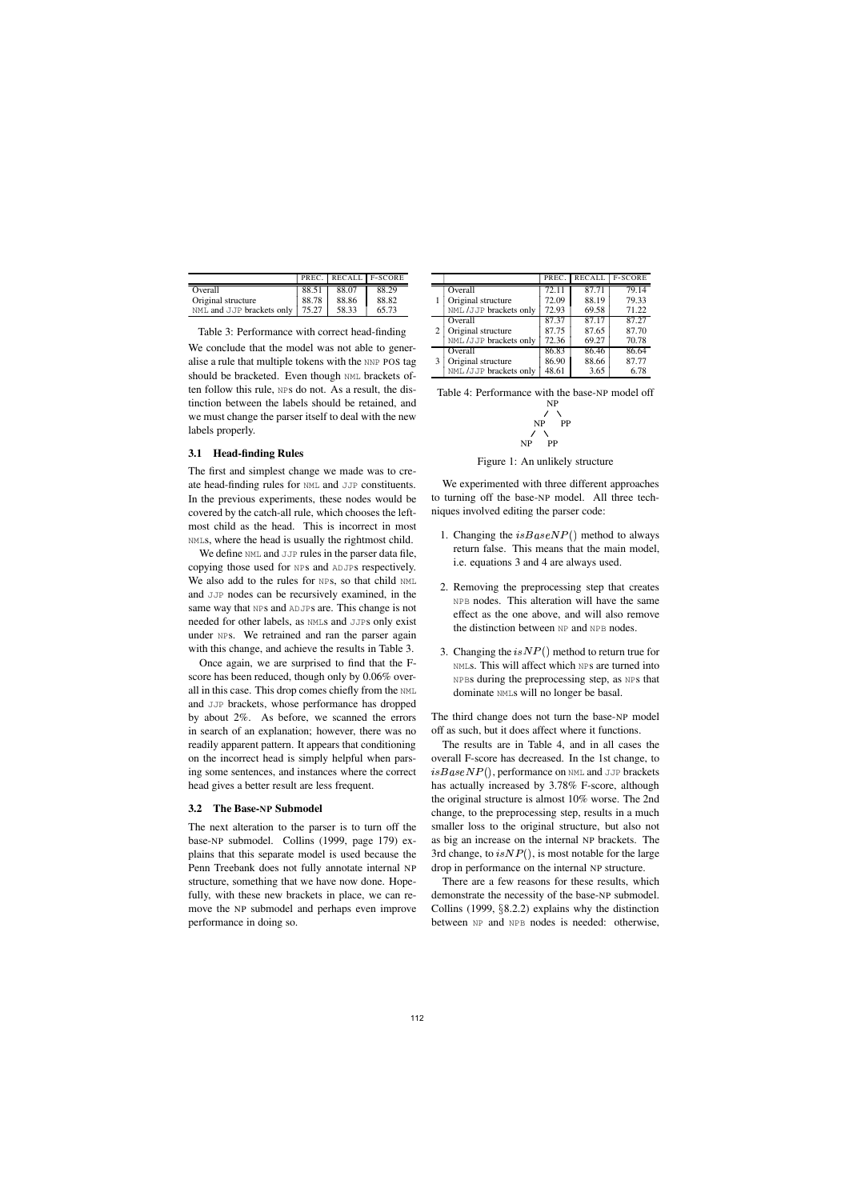|                                         |       | PREC. RECALL F-SCORE |       |
|-----------------------------------------|-------|----------------------|-------|
| Overall                                 | 88.51 | 88.07                | 88.29 |
| Original structure                      | 88.78 | 88.86                | 88.82 |
| NML and JJP brackets only $\vert$ 75.27 |       | 58.33                | 65.73 |

Table 3: Performance with correct head-finding

We conclude that the model was not able to generalise a rule that multiple tokens with the NNP POS tag should be bracketed. Even though NML brackets often follow this rule, NPs do not. As a result, the distinction between the labels should be retained, and we must change the parser itself to deal with the new labels properly.

### **3.1 Head-finding Rules**

The first and simplest change we made was to create head-finding rules for NML and JJP constituents. In the previous experiments, these nodes would be covered by the catch-all rule, which chooses the leftmost child as the head. This is incorrect in most NMLs, where the head is usually the rightmost child.

We define NML and JJP rules in the parser data file, copying those used for NPs and ADJPs respectively. We also add to the rules for NPS, so that child NML and JJP nodes can be recursively examined, in the same way that NPS and ADJPS are. This change is not needed for other labels, as NMLs and JJPs only exist under NPs. We retrained and ran the parser again with this change, and achieve the results in Table 3.

Once again, we are surprised to find that the Fscore has been reduced, though only by 0.06% overall in this case. This drop comes chiefly from the NML and JJP brackets, whose performance has dropped by about 2%. As before, we scanned the errors in search of an explanation; however, there was no readily apparent pattern. It appears that conditioning on the incorrect head is simply helpful when parsing some sentences, and instances where the correct head gives a better result are less frequent.

### **3.2 The Base-NP Submodel**

The next alteration to the parser is to turn off the base-NP submodel. Collins (1999, page 179) explains that this separate model is used because the Penn Treebank does not fully annotate internal NP structure, something that we have now done. Hopefully, with these new brackets in place, we can remove the NP submodel and perhaps even improve performance in doing so.

|   |                        | PREC. | <b>RECALL</b> | <b>F-SCORE</b> |
|---|------------------------|-------|---------------|----------------|
|   | Overall                | 72.11 | 87.71         | 79.14          |
|   | Original structure     | 72.09 | 88.19         | 79.33          |
|   | NML /JJP brackets only | 72.93 | 69.58         | 71.22          |
| 2 | Overall                | 87.37 | 87.17         | 87.27          |
|   | Original structure     | 87.75 | 87.65         | 87.70          |
|   | NML /JJP brackets only | 72.36 | 69.27         | 70.78          |
| 3 | Overall                | 86.83 | 86.46         | 86.64          |
|   | Original structure     | 86.90 | 88.66         | 87.77          |
|   | NML /JJP brackets only | 48.61 | 3.65          | 6.78           |

| Table 4: Performance with the base-NP model off |
|-------------------------------------------------|
| NP                                              |
| 7 X                                             |
| NP PP                                           |
| 7 X                                             |
| NP PP                                           |
|                                                 |

Figure 1: An unlikely structure

We experimented with three different approaches to turning off the base-NP model. All three techniques involved editing the parser code:

- 1. Changing the  $isBaseNP()$  method to always return false. This means that the main model, i.e. equations 3 and 4 are always used.
- 2. Removing the preprocessing step that creates NPB nodes. This alteration will have the same effect as the one above, and will also remove the distinction between NP and NPB nodes.
- 3. Changing the  $isNP()$  method to return true for NMLs. This will affect which NPs are turned into NPBs during the preprocessing step, as NPs that dominate NMLs will no longer be basal.

The third change does not turn the base-NP model off as such, but it does affect where it functions.

The results are in Table 4, and in all cases the overall F-score has decreased. In the 1st change, to  $isBaseNP(),$  performance on <code>NML</code> and <code>JJP</code> brackets has actually increased by 3.78% F-score, although the original structure is almost 10% worse. The 2nd change, to the preprocessing step, results in a much smaller loss to the original structure, but also not as big an increase on the internal NP brackets. The 3rd change, to  $is NP()$ , is most notable for the large drop in performance on the internal NP structure.

There are a few reasons for these results, which demonstrate the necessity of the base-NP submodel. Collins (1999,  $\S$ 8.2.2) explains why the distinction between NP and NPB nodes is needed: otherwise,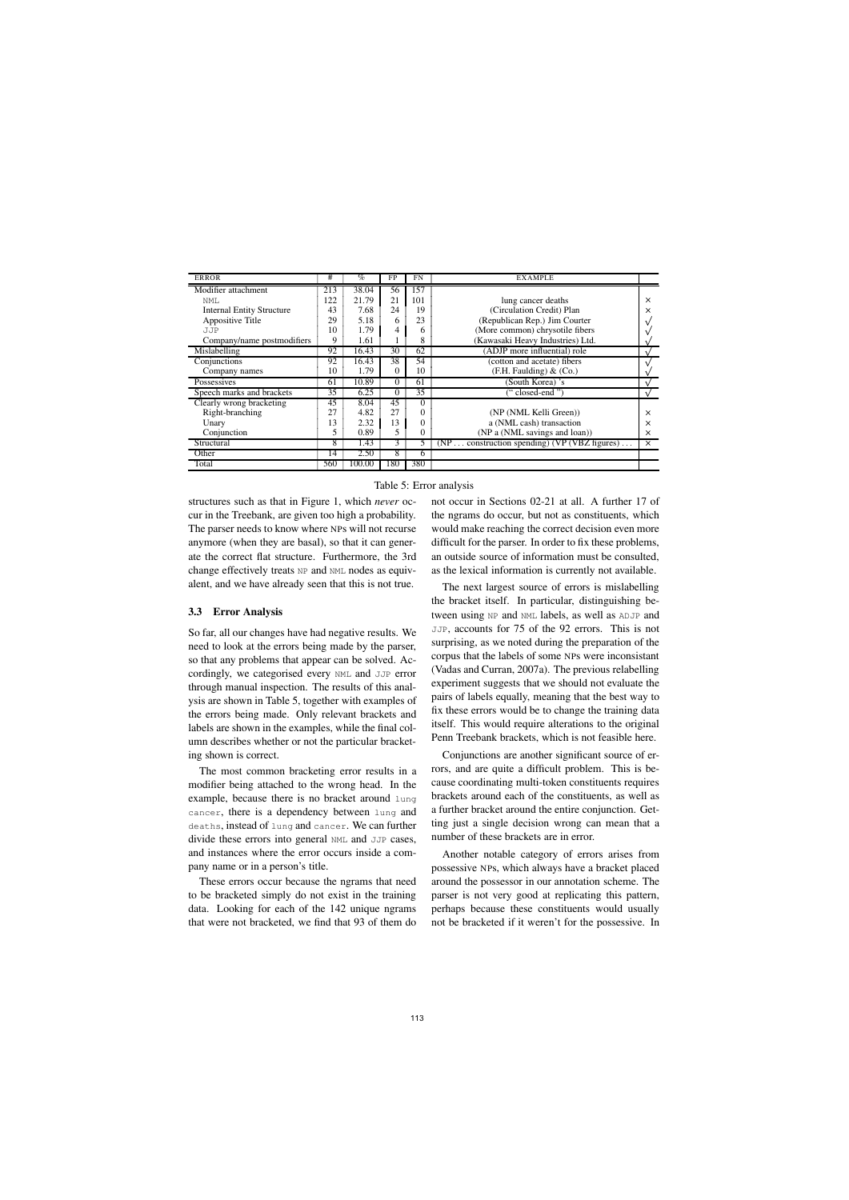| <b>ERROR</b>                     | #   | $\%$   | FP       | <b>FN</b> | <b>EXAMPLE</b>                                    |          |
|----------------------------------|-----|--------|----------|-----------|---------------------------------------------------|----------|
| Modifier attachment              | 213 | 38.04  | 56       | 157       |                                                   |          |
| NMT.                             | 122 | 21.79  | 21       | 101       | lung cancer deaths                                | $\times$ |
| <b>Internal Entity Structure</b> | 43  | 7.68   | 24       | 19        | (Circulation Credit) Plan                         | ×        |
| Appositive Title                 | 29  | 5.18   | 6        | 23        | (Republican Rep.) Jim Courter                     | ν        |
| <b>JJP</b>                       | 10  | 1.79   | 4        | 6         | (More common) chrysotile fibers                   |          |
| Company/name postmodifiers       | 9   | 1.61   |          | 8         | (Kawasaki Heavy Industries) Ltd.                  |          |
| Mislabelling                     | 92  | 16.43  | 30       | 62        | (ADJP more influential) role                      |          |
| Conjunctions                     | 92  | 16.43  | 38       | 54        | (cotton and acetate) fibers                       |          |
| Company names                    | 10  | 1.79   | $\theta$ | 10        | (F.H. Faulding) & (Co.)                           |          |
| Possessives                      | 61  | 10.89  | 0        | 61        | (South Korea) 's                                  |          |
| Speech marks and brackets        | 35  | 6.25   | 0        | 35        | "closed-end"                                      |          |
| Clearly wrong bracketing         | 45  | 8.04   | 45       | 0         |                                                   |          |
| Right-branching                  | 27  | 4.82   | 27       | 0         | (NP (NML Kelli Green))                            | $\times$ |
| Unary                            | 13  | 2.32   | 13       |           | a (NML cash) transaction                          | $\times$ |
| Conjunction                      | 5   | 0.89   | 5        | 0         | (NP a (NML savings and loan))                     | X        |
| Structural                       | 8   | 1.43   | 3        | 5.        | $(NP$ construction spending) $(VP (VBZ figures))$ | $\times$ |
| Other                            | 14  | 2.50   | 8        | 6         |                                                   |          |
| Total                            | 560 | 100.00 | 180      | 380       |                                                   |          |

#### Table 5: Error analysis

structures such as that in Figure 1, which *never* occur in the Treebank, are given too high a probability. The parser needs to know where NPs will not recurse anymore (when they are basal), so that it can generate the correct flat structure. Furthermore, the 3rd change effectively treats NP and NML nodes as equivalent, and we have already seen that this is not true.

#### **3.3 Error Analysis**

So far, all our changes have had negative results. We need to look at the errors being made by the parser, so that any problems that appear can be solved. Accordingly, we categorised every NML and JJP error through manual inspection. The results of this analysis are shown in Table 5, together with examples of the errors being made. Only relevant brackets and labels are shown in the examples, while the final column describes whether or not the particular bracketing shown is correct.

The most common bracketing error results in a modifier being attached to the wrong head. In the example, because there is no bracket around lung cancer, there is a dependency between lung and deaths, instead of lung and cancer. We can further divide these errors into general NML and JJP cases, and instances where the error occurs inside a company name or in a person's title.

These errors occur because the ngrams that need to be bracketed simply do not exist in the training data. Looking for each of the 142 unique ngrams that were not bracketed, we find that 93 of them do

not occur in Sections 02-21 at all. A further 17 of the ngrams do occur, but not as constituents, which would make reaching the correct decision even more difficult for the parser. In order to fix these problems, an outside source of information must be consulted, as the lexical information is currently not available.

The next largest source of errors is mislabelling the bracket itself. In particular, distinguishing between using NP and NML labels, as well as ADJP and JJP, accounts for 75 of the 92 errors. This is not surprising, as we noted during the preparation of the corpus that the labels of some NPs were inconsistant (Vadas and Curran, 2007a). The previous relabelling experiment suggests that we should not evaluate the pairs of labels equally, meaning that the best way to fix these errors would be to change the training data itself. This would require alterations to the original Penn Treebank brackets, which is not feasible here.

Conjunctions are another significant source of errors, and are quite a difficult problem. This is because coordinating multi-token constituents requires brackets around each of the constituents, as well as a further bracket around the entire conjunction. Getting just a single decision wrong can mean that a number of these brackets are in error.

Another notable category of errors arises from possessive NPs, which always have a bracket placed around the possessor in our annotation scheme. The parser is not very good at replicating this pattern, perhaps because these constituents would usually not be bracketed if it weren't for the possessive. In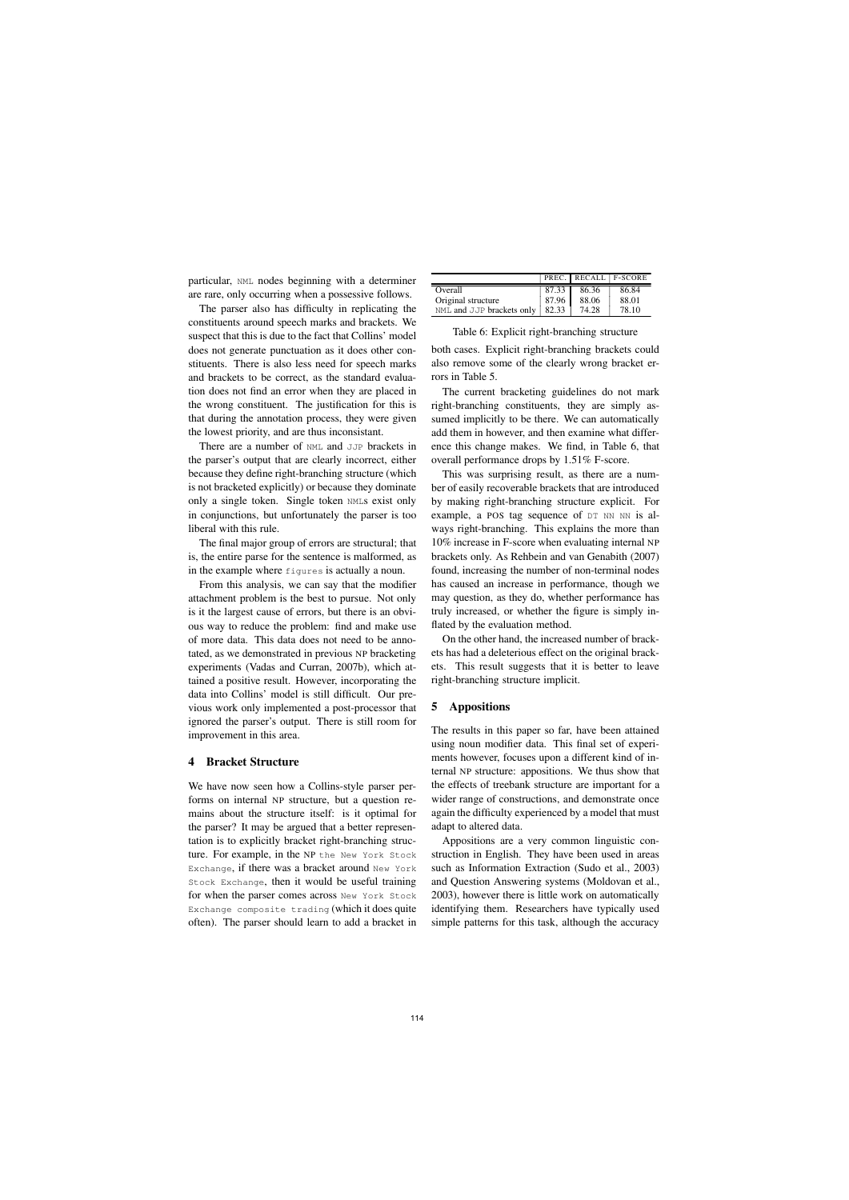particular, NML nodes beginning with a determiner are rare, only occurring when a possessive follows.

The parser also has difficulty in replicating the constituents around speech marks and brackets. We suspect that this is due to the fact that Collins' model does not generate punctuation as it does other constituents. There is also less need for speech marks and brackets to be correct, as the standard evaluation does not find an error when they are placed in the wrong constituent. The justification for this is that during the annotation process, they were given the lowest priority, and are thus inconsistant.

There are a number of NML and JJP brackets in the parser's output that are clearly incorrect, either because they define right-branching structure (which is not bracketed explicitly) or because they dominate only a single token. Single token NMLs exist only in conjunctions, but unfortunately the parser is too liberal with this rule.

The final major group of errors are structural; that is, the entire parse for the sentence is malformed, as in the example where figures is actually a noun.

From this analysis, we can say that the modifier attachment problem is the best to pursue. Not only is it the largest cause of errors, but there is an obvious way to reduce the problem: find and make use of more data. This data does not need to be annotated, as we demonstrated in previous NP bracketing experiments (Vadas and Curran, 2007b), which attained a positive result. However, incorporating the data into Collins' model is still difficult. Our previous work only implemented a post-processor that ignored the parser's output. There is still room for improvement in this area.

## **4 Bracket Structure**

We have now seen how a Collins-style parser performs on internal NP structure, but a question remains about the structure itself: is it optimal for the parser? It may be argued that a better representation is to explicitly bracket right-branching structure. For example, in the NP the New York Stock Exchange, if there was a bracket around New York Stock Exchange, then it would be useful training for when the parser comes across New York Stock Exchange composite trading (which it does quite often). The parser should learn to add a bracket in

|                                   |       | PREC. RECALL F-SCORE |       |
|-----------------------------------|-------|----------------------|-------|
| Overall                           | 87.33 | 86.36                | 86.84 |
| Original structure                | 87.96 | 88.06                | 88.01 |
| NML and JJP brackets only   82.33 |       | 74.28                | 78.10 |

Table 6: Explicit right-branching structure

both cases. Explicit right-branching brackets could also remove some of the clearly wrong bracket errors in Table 5.

The current bracketing guidelines do not mark right-branching constituents, they are simply assumed implicitly to be there. We can automatically add them in however, and then examine what difference this change makes. We find, in Table 6, that overall performance drops by 1.51% F-score.

This was surprising result, as there are a number of easily recoverable brackets that are introduced by making right-branching structure explicit. For example, a POS tag sequence of DT NN NN is always right-branching. This explains the more than 10% increase in F-score when evaluating internal NP brackets only. As Rehbein and van Genabith (2007) found, increasing the number of non-terminal nodes has caused an increase in performance, though we may question, as they do, whether performance has truly increased, or whether the figure is simply inflated by the evaluation method.

On the other hand, the increased number of brackets has had a deleterious effect on the original brackets. This result suggests that it is better to leave right-branching structure implicit.

## **5 Appositions**

The results in this paper so far, have been attained using noun modifier data. This final set of experiments however, focuses upon a different kind of internal NP structure: appositions. We thus show that the effects of treebank structure are important for a wider range of constructions, and demonstrate once again the difficulty experienced by a model that must adapt to altered data.

Appositions are a very common linguistic construction in English. They have been used in areas such as Information Extraction (Sudo et al., 2003) and Question Answering systems (Moldovan et al., 2003), however there is little work on automatically identifying them. Researchers have typically used simple patterns for this task, although the accuracy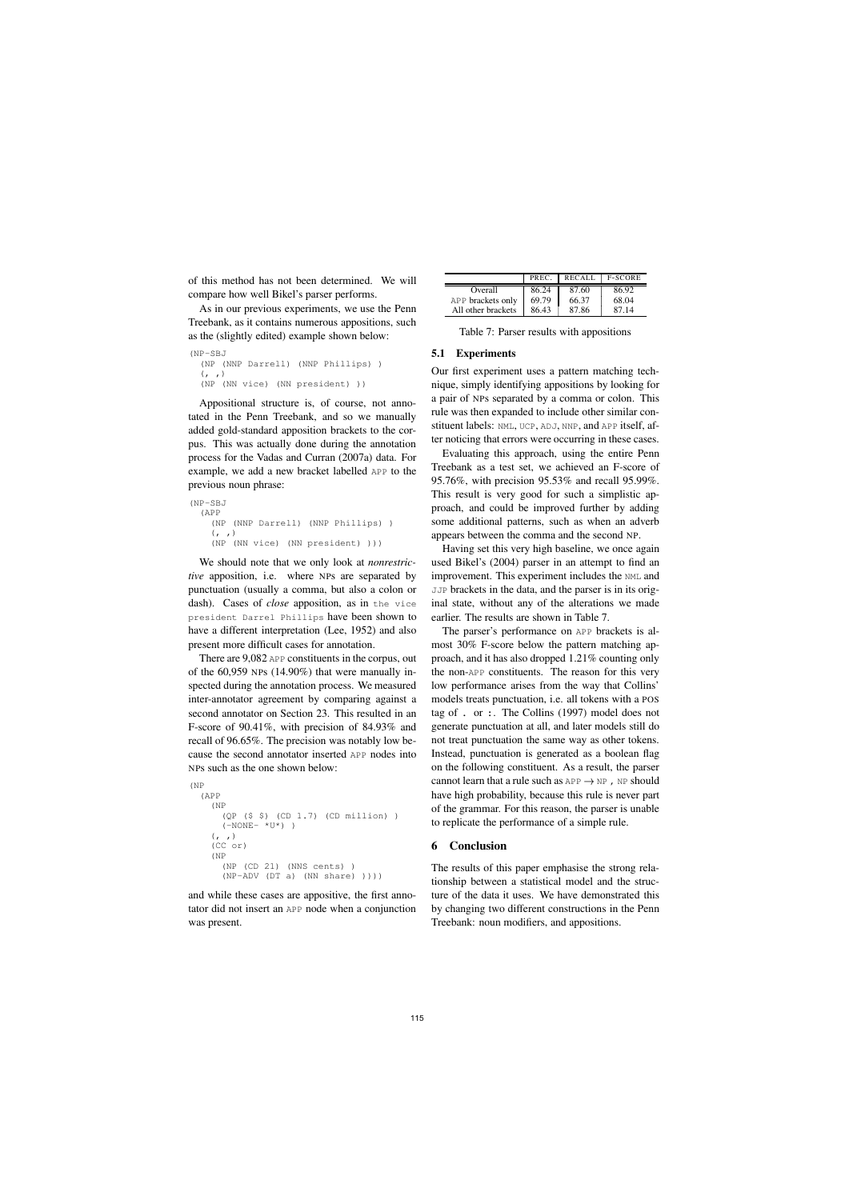of this method has not been determined. We will compare how well Bikel's parser performs.

As in our previous experiments, we use the Penn Treebank, as it contains numerous appositions, such as the (slightly edited) example shown below:

```
(NP-SBJ
  (NP (NNP Darrell) (NNP Phillips) )
  (, )(NP (NN vice) (NN president) ))
```
Appositional structure is, of course, not annotated in the Penn Treebank, and so we manually added gold-standard apposition brackets to the corpus. This was actually done during the annotation process for the Vadas and Curran (2007a) data. For example, we add a new bracket labelled APP to the previous noun phrase:

```
(NP-SBJ
  (APP
    (NP (NNP Darrell) (NNP Phillips) )
    (, )(NP (NN vice) (NN president) )))
```
We should note that we only look at *nonrestrictive* apposition, i.e. where NPs are separated by punctuation (usually a comma, but also a colon or dash). Cases of *close* apposition, as in the vice president Darrel Phillips have been shown to have a different interpretation (Lee, 1952) and also present more difficult cases for annotation.

There are 9,082 APP constituents in the corpus, out of the 60,959 NPs (14.90%) that were manually inspected during the annotation process. We measured inter-annotator agreement by comparing against a second annotator on Section 23. This resulted in an F-score of 90.41%, with precision of 84.93% and recall of 96.65%. The precision was notably low because the second annotator inserted APP nodes into NPs such as the one shown below:

```
(NP
  (APP
    (NP
      (QP ($ $) (CD 1.7) (CD million) )
      (-NONE- *U*))
    (, )(CC or)
    (NP
      (NP (CD 21) (NNS cents) )
      (NP-ADV (DT a) (NN share) ))))
```
and while these cases are appositive, the first annotator did not insert an APP node when a conjunction was present.

|                    | PREC. | <b>RECALL</b> | <b>F-SCORE</b> |
|--------------------|-------|---------------|----------------|
| Overall            | 86.24 | 87.60         | 86.92          |
| APP brackets only  | 69.79 | 66.37         | 68.04          |
| All other brackets | 86.43 | 87.86         | 87.14          |

Table 7: Parser results with appositions

### **5.1 Experiments**

Our first experiment uses a pattern matching technique, simply identifying appositions by looking for a pair of NPs separated by a comma or colon. This rule was then expanded to include other similar constituent labels: NML, UCP, ADJ, NNP, and APP itself, after noticing that errors were occurring in these cases.

Evaluating this approach, using the entire Penn Treebank as a test set, we achieved an F-score of 95.76%, with precision 95.53% and recall 95.99%. This result is very good for such a simplistic approach, and could be improved further by adding some additional patterns, such as when an adverb appears between the comma and the second NP.

Having set this very high baseline, we once again used Bikel's (2004) parser in an attempt to find an improvement. This experiment includes the NML and JJP brackets in the data, and the parser is in its original state, without any of the alterations we made earlier. The results are shown in Table 7.

The parser's performance on APP brackets is almost 30% F-score below the pattern matching approach, and it has also dropped 1.21% counting only the non-APP constituents. The reason for this very low performance arises from the way that Collins' models treats punctuation, i.e. all tokens with a POS tag of . or :. The Collins (1997) model does not generate punctuation at all, and later models still do not treat punctuation the same way as other tokens. Instead, punctuation is generated as a boolean flag on the following constituent. As a result, the parser cannot learn that a rule such as  $APP \rightarrow NP$  ,  $NP$  should have high probability, because this rule is never part of the grammar. For this reason, the parser is unable to replicate the performance of a simple rule.

## **6 Conclusion**

The results of this paper emphasise the strong relationship between a statistical model and the structure of the data it uses. We have demonstrated this by changing two different constructions in the Penn Treebank: noun modifiers, and appositions.